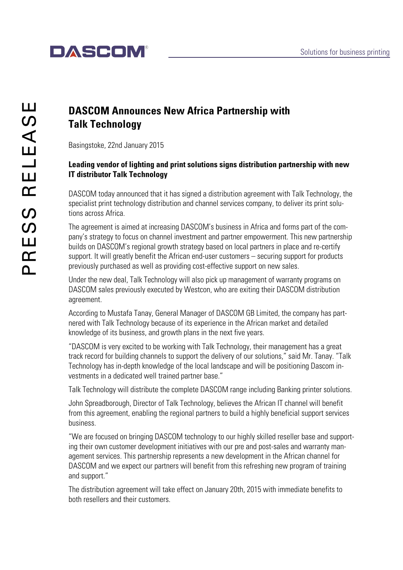# **DASCOM®**

### **DASCOM Announces New Africa Partnership with Talk Technology**

Basingstoke, 22nd January 2015

#### **Leading vendor of lighting and print solutions signs distribution partnership with new IT distributor Talk Technology**

DASCOM today announced that it has signed a distribution agreement with Talk Technology, the specialist print technology distribution and channel services company, to deliver its print solutions across Africa.

The agreement is aimed at increasing DASCOM's business in Africa and forms part of the company's strategy to focus on channel investment and partner empowerment. This new partnership builds on DASCOM's regional growth strategy based on local partners in place and re-certify support. It will greatly benefit the African end-user customers – securing support for products previously purchased as well as providing cost-effective support on new sales.

Under the new deal, Talk Technology will also pick up management of warranty programs on DASCOM sales previously executed by Westcon, who are exiting their DASCOM distribution agreement.

According to Mustafa Tanay, General Manager of DASCOM GB Limited, the company has partnered with Talk Technology because of its experience in the African market and detailed knowledge of its business, and growth plans in the next five years.

"DASCOM is very excited to be working with Talk Technology, their management has a great track record for building channels to support the delivery of our solutions," said Mr. Tanay. "Talk Technology has in-depth knowledge of the local landscape and will be positioning Dascom investments in a dedicated well trained partner base."

Talk Technology will distribute the complete DASCOM range including Banking printer solutions.

John Spreadborough, Director of Talk Technology, believes the African IT channel will benefit from this agreement, enabling the regional partners to build a highly beneficial support services business.

"We are focused on bringing DASCOM technology to our highly skilled reseller base and supporting their own customer development initiatives with our pre and post-sales and warranty management services. This partnership represents a new development in the African channel for DASCOM and we expect our partners will benefit from this refreshing new program of training and support."

The distribution agreement will take effect on January 20th, 2015 with immediate benefits to both resellers and their customers.